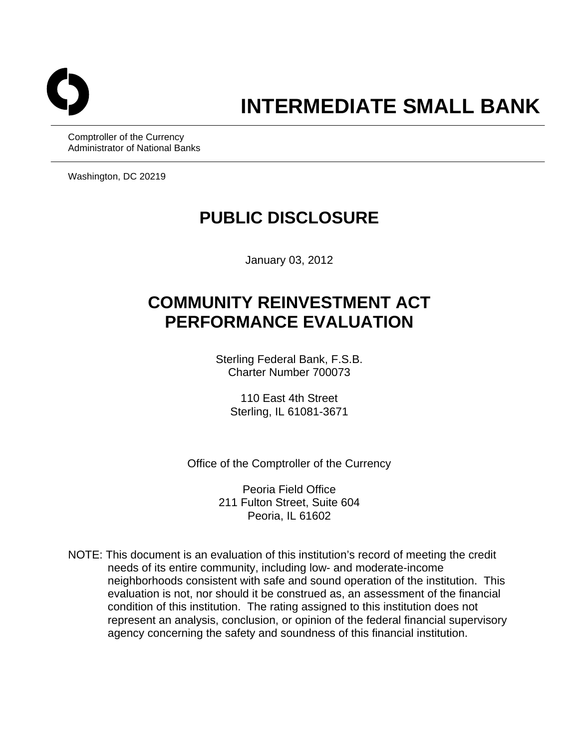

Comptroller of the Currency Administrator of National Banks

Washington, DC 20219

## **PUBLIC DISCLOSURE**

January 03, 2012

# **COMMUNITY REINVESTMENT ACT PERFORMANCE EVALUATION**

Sterling Federal Bank, F.S.B. Charter Number 700073

110 East 4th Street Sterling, IL 61081-3671

Office of the Comptroller of the Currency

Peoria Field Office 211 Fulton Street, Suite 604 Peoria, IL 61602

NOTE: This document is an evaluation of this institution's record of meeting the credit needs of its entire community, including low- and moderate-income neighborhoods consistent with safe and sound operation of the institution. This evaluation is not, nor should it be construed as, an assessment of the financial condition of this institution. The rating assigned to this institution does not represent an analysis, conclusion, or opinion of the federal financial supervisory agency concerning the safety and soundness of this financial institution.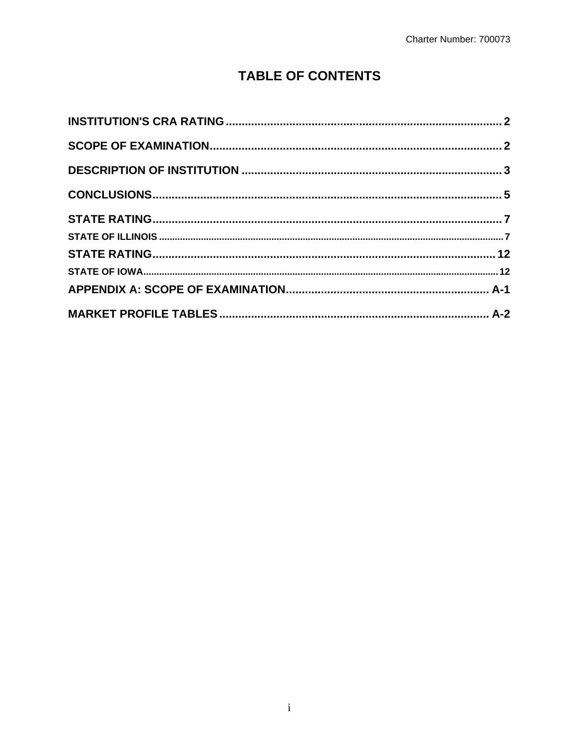## **TABLE OF CONTENTS**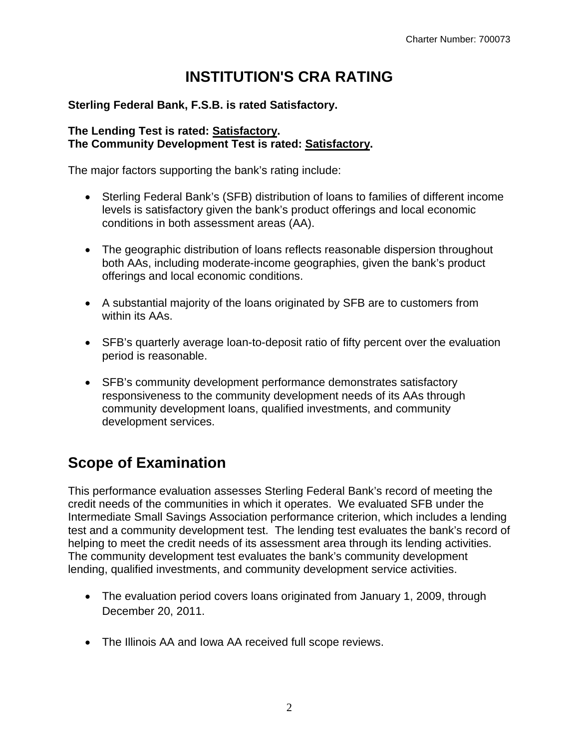## **INSTITUTION'S CRA RATING**

#### <span id="page-2-0"></span>**Sterling Federal Bank, F.S.B. is rated Satisfactory.**

#### **The Lending Test is rated: Satisfactory. The Community Development Test is rated: Satisfactory.**

The major factors supporting the bank's rating include:

- Sterling Federal Bank's (SFB) distribution of loans to families of different income levels is satisfactory given the bank's product offerings and local economic conditions in both assessment areas (AA).
- The geographic distribution of loans reflects reasonable dispersion throughout both AAs, including moderate-income geographies, given the bank's product offerings and local economic conditions.
- A substantial majority of the loans originated by SFB are to customers from within its AAs.
- SFB's quarterly average loan-to-deposit ratio of fifty percent over the evaluation period is reasonable.
- SFB's community development performance demonstrates satisfactory responsiveness to the community development needs of its AAs through community development loans, qualified investments, and community development services.

## **Scope of Examination**

This performance evaluation assesses Sterling Federal Bank's record of meeting the credit needs of the communities in which it operates. We evaluated SFB under the Intermediate Small Savings Association performance criterion, which includes a lending test and a community development test. The lending test evaluates the bank's record of helping to meet the credit needs of its assessment area through its lending activities. The community development test evaluates the bank's community development lending, qualified investments, and community development service activities.

- The evaluation period covers loans originated from January 1, 2009, through December 20, 2011.
- The Illinois AA and Iowa AA received full scope reviews.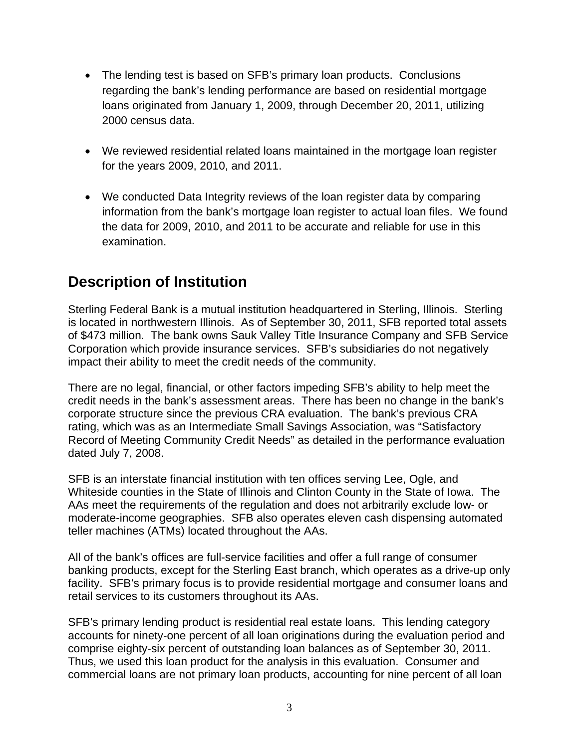- <span id="page-3-0"></span> The lending test is based on SFB's primary loan products. Conclusions regarding the bank's lending performance are based on residential mortgage loans originated from January 1, 2009, through December 20, 2011, utilizing 2000 census data.
- We reviewed residential related loans maintained in the mortgage loan register for the years 2009, 2010, and 2011.
- We conducted Data Integrity reviews of the loan register data by comparing information from the bank's mortgage loan register to actual loan files. We found the data for 2009, 2010, and 2011 to be accurate and reliable for use in this examination.

## **Description of Institution**

Sterling Federal Bank is a mutual institution headquartered in Sterling, Illinois. Sterling is located in northwestern Illinois. As of September 30, 2011, SFB reported total assets of \$473 million. The bank owns Sauk Valley Title Insurance Company and SFB Service Corporation which provide insurance services. SFB's subsidiaries do not negatively impact their ability to meet the credit needs of the community.

There are no legal, financial, or other factors impeding SFB's ability to help meet the credit needs in the bank's assessment areas. There has been no change in the bank's corporate structure since the previous CRA evaluation. The bank's previous CRA rating, which was as an Intermediate Small Savings Association, was "Satisfactory Record of Meeting Community Credit Needs" as detailed in the performance evaluation dated July 7, 2008.

SFB is an interstate financial institution with ten offices serving Lee, Ogle, and Whiteside counties in the State of Illinois and Clinton County in the State of Iowa. The AAs meet the requirements of the regulation and does not arbitrarily exclude low- or moderate-income geographies. SFB also operates eleven cash dispensing automated teller machines (ATMs) located throughout the AAs.

All of the bank's offices are full-service facilities and offer a full range of consumer banking products, except for the Sterling East branch, which operates as a drive-up only facility. SFB's primary focus is to provide residential mortgage and consumer loans and retail services to its customers throughout its AAs.

SFB's primary lending product is residential real estate loans. This lending category accounts for ninety-one percent of all loan originations during the evaluation period and comprise eighty-six percent of outstanding loan balances as of September 30, 2011. Thus, we used this loan product for the analysis in this evaluation. Consumer and commercial loans are not primary loan products, accounting for nine percent of all loan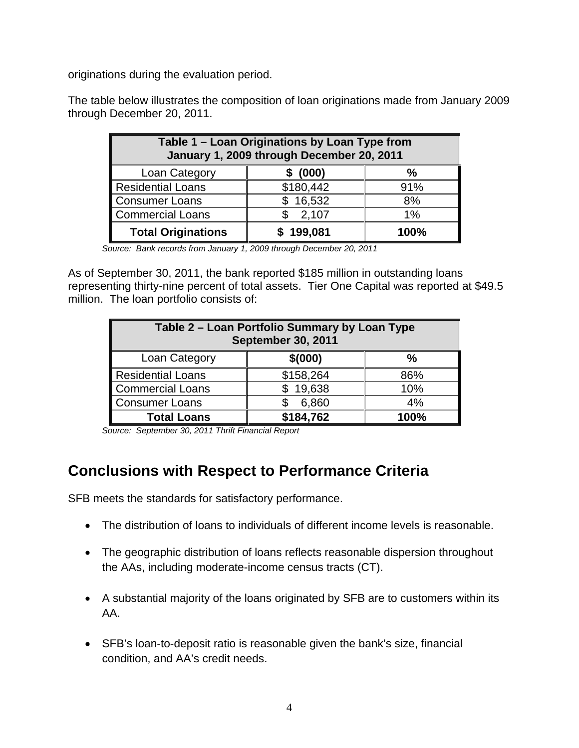originations during the evaluation period.

The table below illustrates the composition of loan originations made from January 2009 through December 20, 2011.

| Table 1 - Loan Originations by Loan Type from<br>January 1, 2009 through December 20, 2011 |                   |       |  |  |  |  |  |  |  |  |
|--------------------------------------------------------------------------------------------|-------------------|-------|--|--|--|--|--|--|--|--|
| Loan Category<br>(000)<br>$\frac{0}{0}$                                                    |                   |       |  |  |  |  |  |  |  |  |
| <b>Residential Loans</b>                                                                   | \$180,442         | 91%   |  |  |  |  |  |  |  |  |
| <b>Consumer Loans</b>                                                                      | 16,532            | 8%    |  |  |  |  |  |  |  |  |
| <b>Commercial Loans</b>                                                                    | 2,107             | $1\%$ |  |  |  |  |  |  |  |  |
| <b>Total Originations</b>                                                                  | \$199,081<br>100% |       |  |  |  |  |  |  |  |  |

*Source: Bank records from January 1, 2009 through December 20, 2011* 

As of September 30, 2011, the bank reported \$185 million in outstanding loans representing thirty-nine percent of total assets. Tier One Capital was reported at \$49.5 million. The loan portfolio consists of:

| Table 2 - Loan Portfolio Summary by Loan Type<br><b>September 30, 2011</b> |           |      |  |  |  |  |  |  |
|----------------------------------------------------------------------------|-----------|------|--|--|--|--|--|--|
| \$(000)<br>Loan Category<br>$\frac{0}{0}$                                  |           |      |  |  |  |  |  |  |
| <b>Residential Loans</b>                                                   | \$158,264 | 86%  |  |  |  |  |  |  |
| <b>Commercial Loans</b>                                                    | \$19,638  | 10%  |  |  |  |  |  |  |
| <b>Consumer Loans</b>                                                      | 6,860     | 4%   |  |  |  |  |  |  |
| <b>Total Loans</b>                                                         | \$184,762 | 100% |  |  |  |  |  |  |

*Source: September 30, 2011 Thrift Financial Report* 

## **Conclusions with Respect to Performance Criteria**

SFB meets the standards for satisfactory performance.

- The distribution of loans to individuals of different income levels is reasonable.
- The geographic distribution of loans reflects reasonable dispersion throughout the AAs, including moderate-income census tracts (CT).
- A substantial majority of the loans originated by SFB are to customers within its AA.
- SFB's loan-to-deposit ratio is reasonable given the bank's size, financial condition, and AA's credit needs.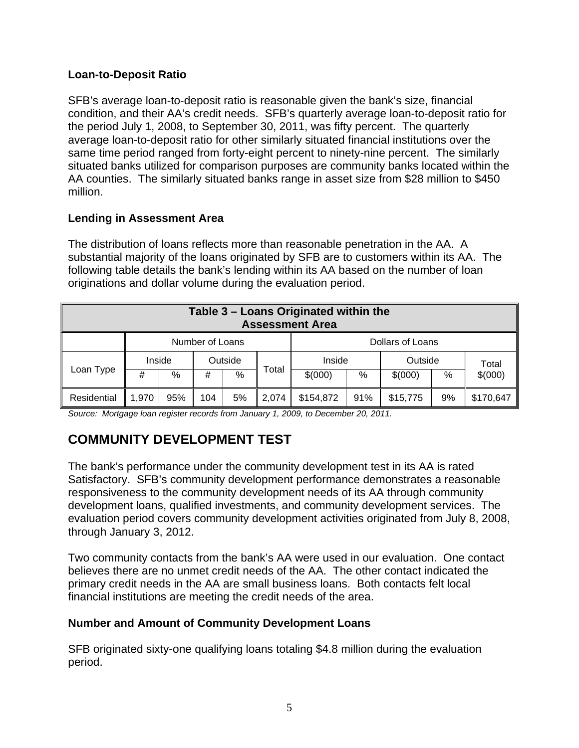#### **Loan-to-Deposit Ratio**

SFB's average loan-to-deposit ratio is reasonable given the bank's size, financial condition, and their AA's credit needs. SFB's quarterly average loan-to-deposit ratio for the period July 1, 2008, to September 30, 2011, was fifty percent. The quarterly average loan-to-deposit ratio for other similarly situated financial institutions over the same time period ranged from forty-eight percent to ninety-nine percent. The similarly situated banks utilized for comparison purposes are community banks located within the AA counties. The similarly situated banks range in asset size from \$28 million to \$450 million.

#### **Lending in Assessment Area**

The distribution of loans reflects more than reasonable penetration in the AA. A substantial majority of the loans originated by SFB are to customers within its AA. The following table details the bank's lending within its AA based on the number of loan originations and dollar volume during the evaluation period.

| Table 3 - Loans Originated within the<br><b>Assessment Area</b> |        |     |         |      |       |           |     |          |    |           |  |
|-----------------------------------------------------------------|--------|-----|---------|------|-------|-----------|-----|----------|----|-----------|--|
| Dollars of Loans<br>Number of Loans                             |        |     |         |      |       |           |     |          |    |           |  |
|                                                                 | Inside |     | Outside |      |       | Inside    |     | Outside  |    | Total     |  |
| Loan Type                                                       | #      | %   | #       | $\%$ | Total | \$(000)   | %   | \$(000)  | %  | \$(000)   |  |
| Residential                                                     | 1,970  | 95% | 104     | 5%   | 2.074 | \$154,872 | 91% | \$15,775 | 9% | \$170,647 |  |

*Source: Mortgage loan register records from January 1, 2009, to December 20, 2011.* 

## **COMMUNITY DEVELOPMENT TEST**

The bank's performance under the community development test in its AA is rated Satisfactory. SFB's community development performance demonstrates a reasonable responsiveness to the community development needs of its AA through community development loans, qualified investments, and community development services. The evaluation period covers community development activities originated from July 8, 2008, through January 3, 2012.

Two community contacts from the bank's AA were used in our evaluation. One contact believes there are no unmet credit needs of the AA. The other contact indicated the primary credit needs in the AA are small business loans. Both contacts felt local financial institutions are meeting the credit needs of the area.

#### **Number and Amount of Community Development Loans**

SFB originated sixty-one qualifying loans totaling \$4.8 million during the evaluation period.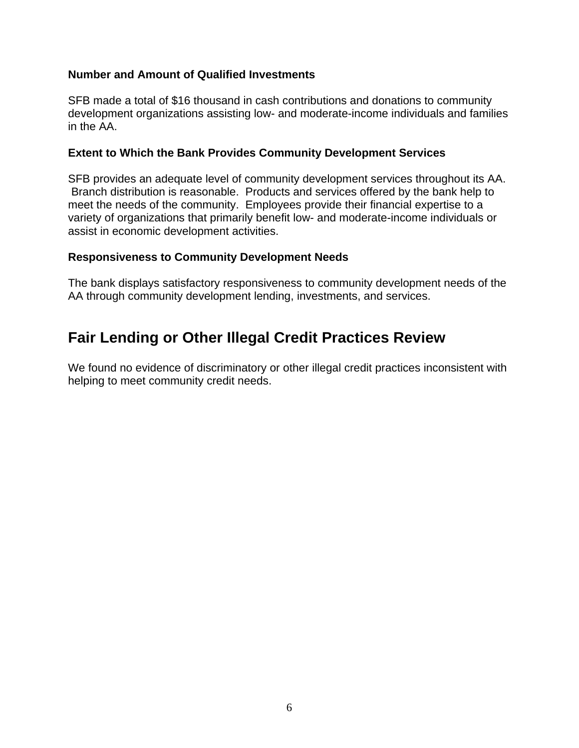#### **Number and Amount of Qualified Investments**

SFB made a total of \$16 thousand in cash contributions and donations to community development organizations assisting low- and moderate-income individuals and families in the AA.

#### **Extent to Which the Bank Provides Community Development Services**

SFB provides an adequate level of community development services throughout its AA. Branch distribution is reasonable. Products and services offered by the bank help to meet the needs of the community. Employees provide their financial expertise to a variety of organizations that primarily benefit low- and moderate-income individuals or assist in economic development activities.

#### **Responsiveness to Community Development Needs**

The bank displays satisfactory responsiveness to community development needs of the AA through community development lending, investments, and services.

## **Fair Lending or Other Illegal Credit Practices Review**

We found no evidence of discriminatory or other illegal credit practices inconsistent with helping to meet community credit needs.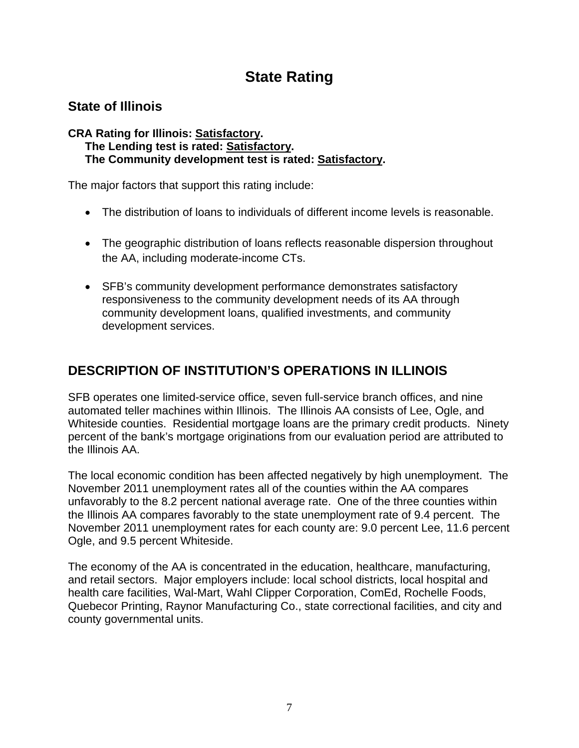## **State Rating**

## <span id="page-7-0"></span>**State of Illinois**

#### **CRA Rating for Illinois: Satisfactory. The Lending test is rated: Satisfactory. The Community development test is rated: Satisfactory.**

The major factors that support this rating include:

- The distribution of loans to individuals of different income levels is reasonable.
- The geographic distribution of loans reflects reasonable dispersion throughout the AA, including moderate-income CTs.
- SFB's community development performance demonstrates satisfactory responsiveness to the community development needs of its AA through community development loans, qualified investments, and community development services.

## **DESCRIPTION OF INSTITUTION'S OPERATIONS IN ILLINOIS**

SFB operates one limited-service office, seven full-service branch offices, and nine automated teller machines within Illinois. The Illinois AA consists of Lee, Ogle, and Whiteside counties. Residential mortgage loans are the primary credit products. Ninety percent of the bank's mortgage originations from our evaluation period are attributed to the Illinois AA.

The local economic condition has been affected negatively by high unemployment. The November 2011 unemployment rates all of the counties within the AA compares unfavorably to the 8.2 percent national average rate. One of the three counties within the Illinois AA compares favorably to the state unemployment rate of 9.4 percent. The November 2011 unemployment rates for each county are: 9.0 percent Lee, 11.6 percent Ogle, and 9.5 percent Whiteside.

The economy of the AA is concentrated in the education, healthcare, manufacturing, and retail sectors. Major employers include: local school districts, local hospital and health care facilities, Wal-Mart, Wahl Clipper Corporation, ComEd, Rochelle Foods, Quebecor Printing, Raynor Manufacturing Co., state correctional facilities, and city and county governmental units.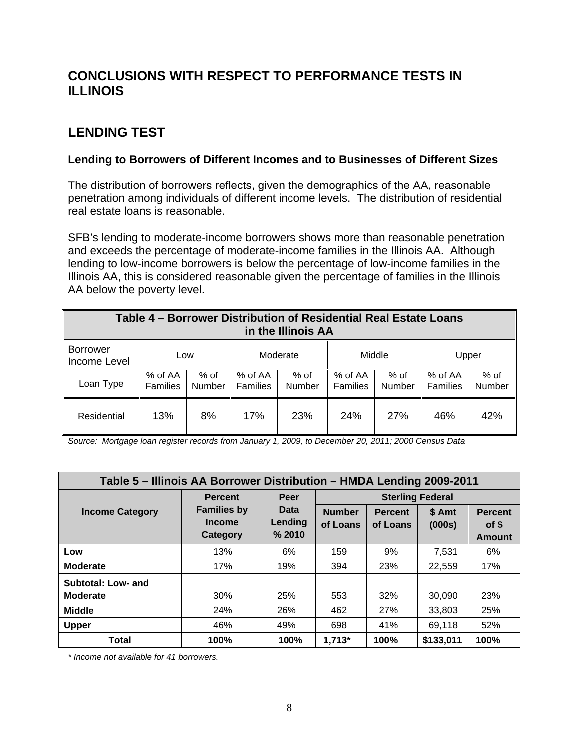## **CONCLUSIONS WITH RESPECT TO PERFORMANCE TESTS IN ILLINOIS**

## **LENDING TEST**

#### **Lending to Borrowers of Different Incomes and to Businesses of Different Sizes**

The distribution of borrowers reflects, given the demographics of the AA, reasonable penetration among individuals of different income levels. The distribution of residential real estate loans is reasonable.

SFB's lending to moderate-income borrowers shows more than reasonable penetration and exceeds the percentage of moderate-income families in the Illinois AA. Although lending to low-income borrowers is below the percentage of low-income families in the Illinois AA, this is considered reasonable given the percentage of families in the Illinois AA below the poverty level.

| Table 4 – Borrower Distribution of Residential Real Estate Loans<br>in the Illinois AA |                            |                       |                     |                |                            |                |                     |                |  |  |
|----------------------------------------------------------------------------------------|----------------------------|-----------------------|---------------------|----------------|----------------------------|----------------|---------------------|----------------|--|--|
| <b>Borrower</b><br>Income Level                                                        | Low                        |                       |                     | Moderate       |                            | Middle         |                     | Upper          |  |  |
| Loan Type                                                                              | % of AA<br><b>Families</b> | % of<br><b>Number</b> | % of AA<br>Families | % of<br>Number | % of AA<br><b>Families</b> | % of<br>Number | % of AA<br>Families | % of<br>Number |  |  |
| Residential                                                                            | 13%                        | 8%                    | 17%                 | 23%            | 24%                        | 27%            | 46%                 | 42%            |  |  |

*Source: Mortgage loan register records from January 1, 2009, to December 20, 2011; 2000 Census Data* 

| Table 5 – Illinois AA Borrower Distribution – HMDA Lending 2009-2011 |                                          |                           |                           |                            |                  |                                          |  |  |  |  |
|----------------------------------------------------------------------|------------------------------------------|---------------------------|---------------------------|----------------------------|------------------|------------------------------------------|--|--|--|--|
|                                                                      | <b>Percent</b>                           | Peer                      |                           | <b>Sterling Federal</b>    |                  |                                          |  |  |  |  |
| <b>Income Category</b>                                               | <b>Families by</b><br>Income<br>Category | Data<br>Lending<br>% 2010 | <b>Number</b><br>of Loans | <b>Percent</b><br>of Loans | \$ Amt<br>(000s) | <b>Percent</b><br>of \$<br><b>Amount</b> |  |  |  |  |
| Low                                                                  | 13%                                      | 6%                        | 159                       | 9%                         | 7,531            | 6%                                       |  |  |  |  |
| <b>Moderate</b>                                                      | 17%                                      | 19%                       | 394                       | 23%                        | 22,559           | 17%                                      |  |  |  |  |
| Subtotal: Low- and<br><b>Moderate</b>                                | 30%                                      | 25%                       | 553                       | 32%                        | 30.090           | 23%                                      |  |  |  |  |
| <b>Middle</b>                                                        | 24%                                      | 26%                       | 462                       | 27%                        | 33,803           | 25%                                      |  |  |  |  |
| Upper                                                                | 46%                                      | 49%                       | 698                       | 41%                        | 69,118           | 52%                                      |  |  |  |  |
| Total                                                                | 100%                                     | 100%                      | $1,713*$                  | 100%                       | \$133,011        | 100%                                     |  |  |  |  |

*\* Income not available for 41 borrowers.*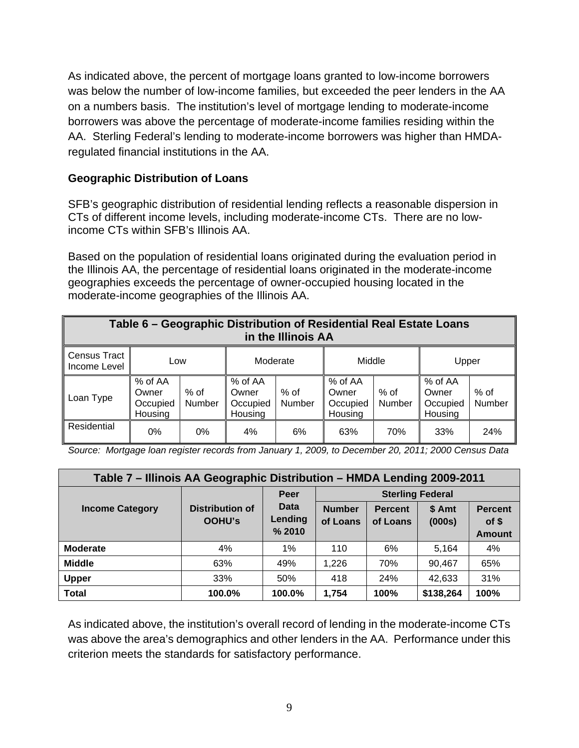As indicated above, the percent of mortgage loans granted to low-income borrowers was below the number of low-income families, but exceeded the peer lenders in the AA on a numbers basis. The institution's level of mortgage lending to moderate-income borrowers was above the percentage of moderate-income families residing within the AA. Sterling Federal's lending to moderate-income borrowers was higher than HMDAregulated financial institutions in the AA.

#### **Geographic Distribution of Loans**

SFB's geographic distribution of residential lending reflects a reasonable dispersion in CTs of different income levels, including moderate-income CTs. There are no lowincome CTs within SFB's Illinois AA.

Based on the population of residential loans originated during the evaluation period in the Illinois AA, the percentage of residential loans originated in the moderate-income geographies exceeds the percentage of owner-occupied housing located in the moderate-income geographies of the Illinois AA.

| Table 6 - Geographic Distribution of Residential Real Estate Loans<br>in the Illinois AA |                                         |                  |                                         |                |                                         |                  |                                         |                  |  |  |
|------------------------------------------------------------------------------------------|-----------------------------------------|------------------|-----------------------------------------|----------------|-----------------------------------------|------------------|-----------------------------------------|------------------|--|--|
| Census Tract<br>Income Level                                                             | Low                                     |                  | Moderate                                |                | Middle                                  |                  | Upper                                   |                  |  |  |
| Loan Type                                                                                | % of AA<br>Owner<br>Occupied<br>Housing | $%$ of<br>Number | % of AA<br>Owner<br>Occupied<br>Housing | % of<br>Number | % of AA<br>Owner<br>Occupied<br>Housing | $%$ of<br>Number | % of AA<br>Owner<br>Occupied<br>Housing | $%$ of<br>Number |  |  |
| Residential                                                                              | 0%                                      | $0\%$            | 4%                                      | 6%             | 63%                                     | 70%              | 33%                                     | 24%              |  |  |

 *Source: Mortgage loan register records from January 1, 2009, to December 20, 2011; 2000 Census Data* 

| Table 7 – Illinois AA Geographic Distribution – HMDA Lending 2009-2011 |                                         |                                  |                           |                            |                  |                                          |  |  |  |
|------------------------------------------------------------------------|-----------------------------------------|----------------------------------|---------------------------|----------------------------|------------------|------------------------------------------|--|--|--|
|                                                                        |                                         | <b>Peer</b>                      | <b>Sterling Federal</b>   |                            |                  |                                          |  |  |  |
| <b>Income Category</b>                                                 | <b>Distribution of</b><br><b>OOHU's</b> | <b>Data</b><br>Lending<br>% 2010 | <b>Number</b><br>of Loans | <b>Percent</b><br>of Loans | \$ Amt<br>(000s) | <b>Percent</b><br>of \$<br><b>Amount</b> |  |  |  |
| <b>Moderate</b>                                                        | 4%                                      | 1%                               | 110                       | 6%                         | 5,164            | 4%                                       |  |  |  |
| <b>Middle</b>                                                          | 63%                                     | 49%                              | 1,226                     | 70%                        | 90,467           | 65%                                      |  |  |  |
| <b>Upper</b>                                                           | 33%                                     | 50%                              | 418                       | 24%                        | 42,633           | 31%                                      |  |  |  |
| <b>Total</b>                                                           | 100.0%                                  | 100.0%                           | 1,754                     | 100%                       | \$138,264        | 100%                                     |  |  |  |

As indicated above, the institution's overall record of lending in the moderate-income CTs was above the area's demographics and other lenders in the AA. Performance under this criterion meets the standards for satisfactory performance.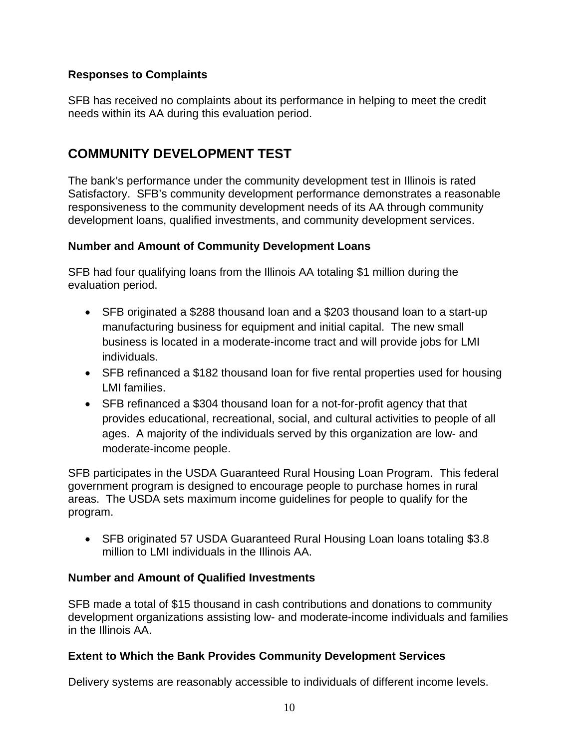#### **Responses to Complaints**

SFB has received no complaints about its performance in helping to meet the credit needs within its AA during this evaluation period.

### **COMMUNITY DEVELOPMENT TEST**

The bank's performance under the community development test in Illinois is rated Satisfactory. SFB's community development performance demonstrates a reasonable responsiveness to the community development needs of its AA through community development loans, qualified investments, and community development services.

#### **Number and Amount of Community Development Loans**

SFB had four qualifying loans from the Illinois AA totaling \$1 million during the evaluation period.

- SFB originated a \$288 thousand loan and a \$203 thousand loan to a start-up manufacturing business for equipment and initial capital. The new small business is located in a moderate-income tract and will provide jobs for LMI individuals.
- SFB refinanced a \$182 thousand loan for five rental properties used for housing LMI families.
- SFB refinanced a \$304 thousand loan for a not-for-profit agency that that provides educational, recreational, social, and cultural activities to people of all ages. A majority of the individuals served by this organization are low- and moderate-income people.

SFB participates in the USDA Guaranteed Rural Housing Loan Program. This federal government program is designed to encourage people to purchase homes in rural areas. The USDA sets maximum income guidelines for people to qualify for the program.

• SFB originated 57 USDA Guaranteed Rural Housing Loan loans totaling \$3.8 million to LMI individuals in the Illinois AA.

#### **Number and Amount of Qualified Investments**

SFB made a total of \$15 thousand in cash contributions and donations to community development organizations assisting low- and moderate-income individuals and families in the Illinois AA.

#### **Extent to Which the Bank Provides Community Development Services**

Delivery systems are reasonably accessible to individuals of different income levels.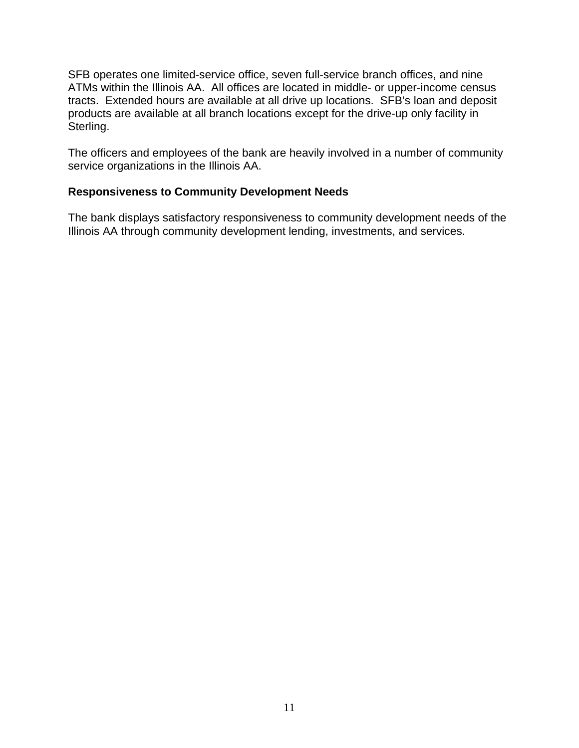SFB operates one limited-service office, seven full-service branch offices, and nine ATMs within the Illinois AA. All offices are located in middle- or upper-income census tracts. Extended hours are available at all drive up locations. SFB's loan and deposit products are available at all branch locations except for the drive-up only facility in Sterling.

The officers and employees of the bank are heavily involved in a number of community service organizations in the Illinois AA.

#### **Responsiveness to Community Development Needs**

The bank displays satisfactory responsiveness to community development needs of the Illinois AA through community development lending, investments, and services.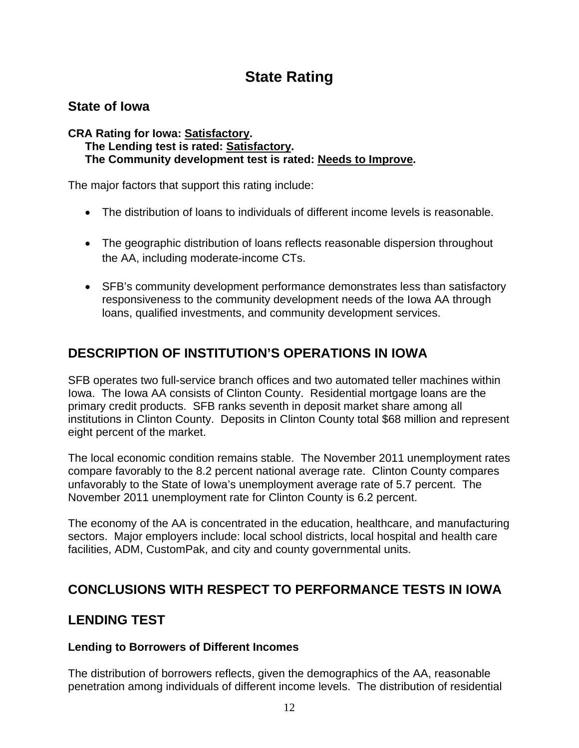## **State Rating**

### <span id="page-12-0"></span>**State of Iowa**

#### **CRA Rating for Iowa: Satisfactory. The Lending test is rated: Satisfactory. The Community development test is rated: Needs to Improve.**

The major factors that support this rating include:

- The distribution of loans to individuals of different income levels is reasonable.
- The geographic distribution of loans reflects reasonable dispersion throughout the AA, including moderate-income CTs.
- SFB's community development performance demonstrates less than satisfactory responsiveness to the community development needs of the Iowa AA through loans, qualified investments, and community development services.

## **DESCRIPTION OF INSTITUTION'S OPERATIONS IN IOWA**

SFB operates two full-service branch offices and two automated teller machines within Iowa. The Iowa AA consists of Clinton County. Residential mortgage loans are the primary credit products. SFB ranks seventh in deposit market share among all institutions in Clinton County. Deposits in Clinton County total \$68 million and represent eight percent of the market.

The local economic condition remains stable. The November 2011 unemployment rates compare favorably to the 8.2 percent national average rate. Clinton County compares unfavorably to the State of Iowa's unemployment average rate of 5.7 percent. The November 2011 unemployment rate for Clinton County is 6.2 percent.

The economy of the AA is concentrated in the education, healthcare, and manufacturing sectors. Major employers include: local school districts, local hospital and health care facilities, ADM, CustomPak, and city and county governmental units.

### **CONCLUSIONS WITH RESPECT TO PERFORMANCE TESTS IN IOWA**

### **LENDING TEST**

#### **Lending to Borrowers of Different Incomes**

The distribution of borrowers reflects, given the demographics of the AA, reasonable penetration among individuals of different income levels. The distribution of residential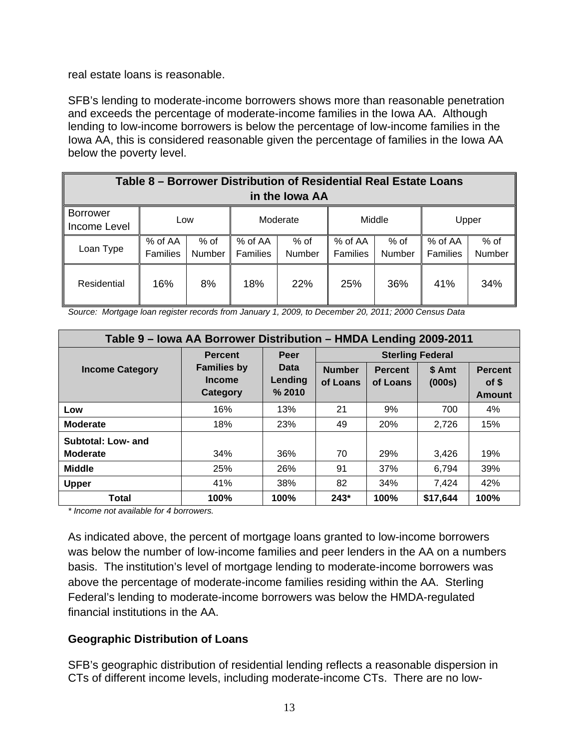real estate loans is reasonable.

SFB's lending to moderate-income borrowers shows more than reasonable penetration and exceeds the percentage of moderate-income families in the Iowa AA. Although lending to low-income borrowers is below the percentage of low-income families in the Iowa AA, this is considered reasonable given the percentage of families in the Iowa AA below the poverty level.

| Table 8 – Borrower Distribution of Residential Real Estate Loans<br>in the Iowa AA |                            |                       |                            |                       |                            |                  |                            |                |  |  |
|------------------------------------------------------------------------------------|----------------------------|-----------------------|----------------------------|-----------------------|----------------------------|------------------|----------------------------|----------------|--|--|
| <b>Borrower</b><br>Income Level                                                    |                            | Moderate<br>Low       |                            | Middle                |                            | Upper            |                            |                |  |  |
| Loan Type                                                                          | % of AA<br><b>Families</b> | % of<br><b>Number</b> | % of AA<br><b>Families</b> | % of<br><b>Number</b> | % of AA<br><b>Families</b> | $%$ of<br>Number | % of AA<br><b>Families</b> | % of<br>Number |  |  |
| Residential                                                                        | 16%                        | 8%                    | 18%                        | 22%                   | 25%                        | 36%              | 41%                        | 34%            |  |  |

*Source: Mortgage loan register records from January 1, 2009, to December 20, 2011; 2000 Census Data* 

| Table 9 – Iowa AA Borrower Distribution – HMDA Lending 2009-2011 |                                                 |                           |                           |                            |                  |                                          |  |  |  |  |
|------------------------------------------------------------------|-------------------------------------------------|---------------------------|---------------------------|----------------------------|------------------|------------------------------------------|--|--|--|--|
|                                                                  | <b>Percent</b>                                  | Peer                      | <b>Sterling Federal</b>   |                            |                  |                                          |  |  |  |  |
| <b>Income Category</b>                                           | <b>Families by</b><br><b>Income</b><br>Category | Data<br>Lending<br>% 2010 | <b>Number</b><br>of Loans | <b>Percent</b><br>of Loans | \$ Amt<br>(000s) | <b>Percent</b><br>of \$<br><b>Amount</b> |  |  |  |  |
| Low                                                              | 16%                                             | 13%                       | 21                        | 9%                         | 700              | 4%                                       |  |  |  |  |
| <b>Moderate</b>                                                  | 18%                                             | 23%                       | 49                        | 20%                        | 2,726            | 15%                                      |  |  |  |  |
| Subtotal: Low- and                                               |                                                 |                           |                           |                            |                  |                                          |  |  |  |  |
| <b>Moderate</b>                                                  | 34%                                             | 36%                       | 70                        | 29%                        | 3,426            | 19%                                      |  |  |  |  |
| <b>Middle</b>                                                    | 25%                                             | 26%                       | 91                        | 37%                        | 6,794            | 39%                                      |  |  |  |  |
| <b>Upper</b>                                                     | 41%                                             | 38%                       | 82                        | 34%                        | 7,424            | 42%                                      |  |  |  |  |
| Total                                                            | 100%                                            | 100%                      | $243*$                    | 100%                       | \$17,644         | 100%                                     |  |  |  |  |

*\* Income not available for 4 borrowers.* 

As indicated above, the percent of mortgage loans granted to low-income borrowers was below the number of low-income families and peer lenders in the AA on a numbers basis. The institution's level of mortgage lending to moderate-income borrowers was above the percentage of moderate-income families residing within the AA. Sterling Federal's lending to moderate-income borrowers was below the HMDA-regulated financial institutions in the AA.

#### **Geographic Distribution of Loans**

SFB's geographic distribution of residential lending reflects a reasonable dispersion in CTs of different income levels, including moderate-income CTs. There are no low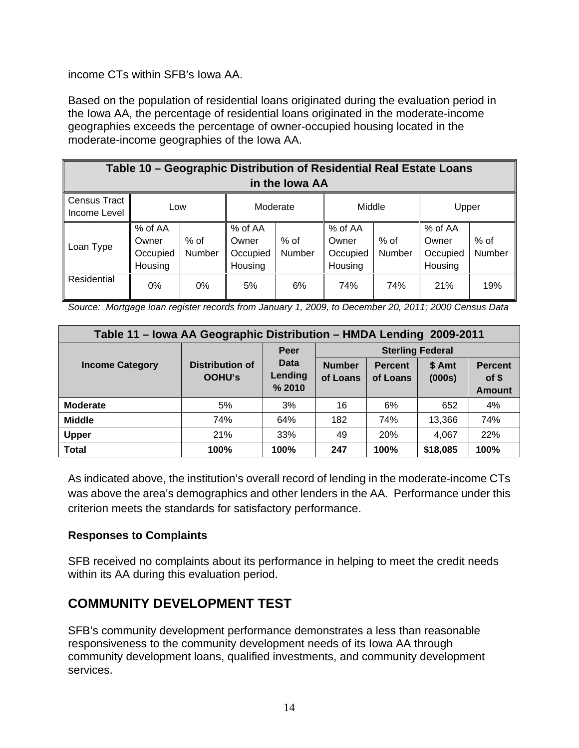income CTs within SFB's Iowa AA.

Based on the population of residential loans originated during the evaluation period in the Iowa AA, the percentage of residential loans originated in the moderate-income geographies exceeds the percentage of owner-occupied housing located in the moderate-income geographies of the Iowa AA.

| Table 10 - Geographic Distribution of Residential Real Estate Loans<br>in the lowa AA |                                         |                |                                         |                |                                         |                |                                         |                  |  |  |
|---------------------------------------------------------------------------------------|-----------------------------------------|----------------|-----------------------------------------|----------------|-----------------------------------------|----------------|-----------------------------------------|------------------|--|--|
| Census Tract<br>Income Level                                                          | Low                                     |                | Moderate                                |                | Middle                                  |                | Upper                                   |                  |  |  |
| Loan Type                                                                             | % of AA<br>Owner<br>Occupied<br>Housing | % of<br>Number | % of AA<br>Owner<br>Occupied<br>Housing | % of<br>Number | % of AA<br>Owner<br>Occupied<br>Housing | % of<br>Number | % of AA<br>Owner<br>Occupied<br>Housing | $%$ of<br>Number |  |  |
| Residential                                                                           | 0%                                      | 0%             | 5%                                      | 6%             | 74%                                     | 74%            | 21%                                     | 19%              |  |  |

 *Source: Mortgage loan register records from January 1, 2009, to December 20, 2011; 2000 Census Data* 

| Table 11 - Iowa AA Geographic Distribution - HMDA Lending 2009-2011 |                                         |                                  |                           |                            |                  |                                          |  |  |  |
|---------------------------------------------------------------------|-----------------------------------------|----------------------------------|---------------------------|----------------------------|------------------|------------------------------------------|--|--|--|
|                                                                     |                                         | Peer                             | <b>Sterling Federal</b>   |                            |                  |                                          |  |  |  |
| <b>Income Category</b>                                              | <b>Distribution of</b><br><b>OOHU's</b> | <b>Data</b><br>Lending<br>% 2010 | <b>Number</b><br>of Loans | <b>Percent</b><br>of Loans | \$ Amt<br>(000s) | <b>Percent</b><br>of \$<br><b>Amount</b> |  |  |  |
| <b>Moderate</b>                                                     | 5%                                      | 3%                               | 16                        | 6%                         | 652              | 4%                                       |  |  |  |
| <b>Middle</b>                                                       | 74%                                     | 64%                              | 182                       | 74%                        | 13,366           | 74%                                      |  |  |  |
| <b>Upper</b>                                                        | 21%                                     | 33%                              | 49                        | 20%                        | 4,067            | 22%                                      |  |  |  |
| <b>Total</b>                                                        | 100%                                    | 100%                             | 247                       | 100%                       | \$18,085         | 100%                                     |  |  |  |

As indicated above, the institution's overall record of lending in the moderate-income CTs was above the area's demographics and other lenders in the AA. Performance under this criterion meets the standards for satisfactory performance.

#### **Responses to Complaints**

SFB received no complaints about its performance in helping to meet the credit needs within its AA during this evaluation period.

## **COMMUNITY DEVELOPMENT TEST**

SFB's community development performance demonstrates a less than reasonable responsiveness to the community development needs of its Iowa AA through community development loans, qualified investments, and community development services.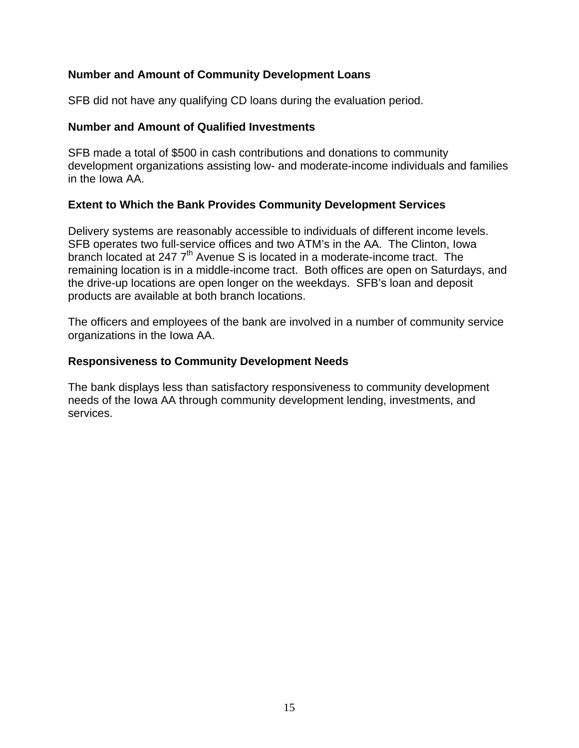#### **Number and Amount of Community Development Loans**

SFB did not have any qualifying CD loans during the evaluation period.

#### **Number and Amount of Qualified Investments**

SFB made a total of \$500 in cash contributions and donations to community development organizations assisting low- and moderate-income individuals and families in the Iowa AA.

#### **Extent to Which the Bank Provides Community Development Services**

Delivery systems are reasonably accessible to individuals of different income levels. SFB operates two full-service offices and two ATM's in the AA. The Clinton, Iowa branch located at 247  $7<sup>th</sup>$  Avenue S is located in a moderate-income tract. The remaining location is in a middle-income tract. Both offices are open on Saturdays, and the drive-up locations are open longer on the weekdays. SFB's loan and deposit products are available at both branch locations.

The officers and employees of the bank are involved in a number of community service organizations in the Iowa AA.

#### **Responsiveness to Community Development Needs**

The bank displays less than satisfactory responsiveness to community development needs of the Iowa AA through community development lending, investments, and services.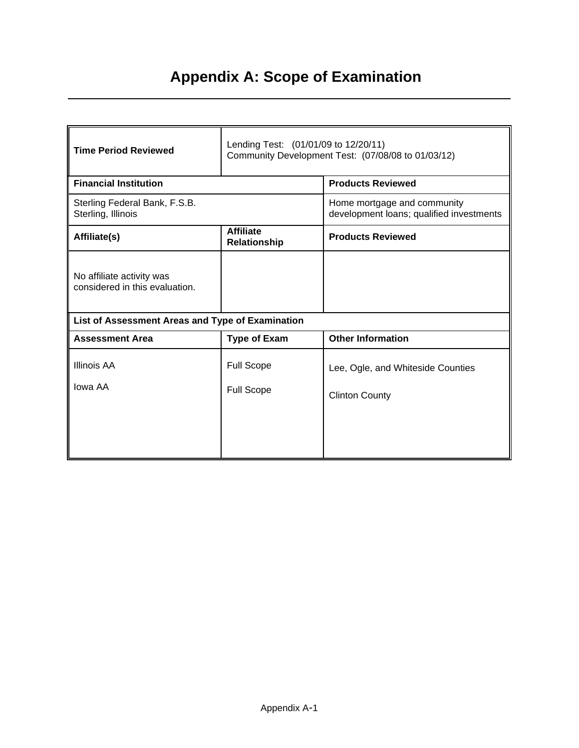# **Appendix A: Scope of Examination**

| <b>Time Period Reviewed</b>                                 | Lending Test: (01/01/09 to 12/20/11)<br>Community Development Test: (07/08/08 to 01/03/12) |                                                                         |  |  |  |  |  |  |
|-------------------------------------------------------------|--------------------------------------------------------------------------------------------|-------------------------------------------------------------------------|--|--|--|--|--|--|
| <b>Financial Institution</b>                                |                                                                                            | <b>Products Reviewed</b>                                                |  |  |  |  |  |  |
| Sterling Federal Bank, F.S.B.<br>Sterling, Illinois         |                                                                                            | Home mortgage and community<br>development loans; qualified investments |  |  |  |  |  |  |
| Affiliate(s)                                                | <b>Affiliate</b><br>Relationship                                                           | <b>Products Reviewed</b>                                                |  |  |  |  |  |  |
| No affiliate activity was<br>considered in this evaluation. |                                                                                            |                                                                         |  |  |  |  |  |  |
| List of Assessment Areas and Type of Examination            |                                                                                            |                                                                         |  |  |  |  |  |  |
| <b>Assessment Area</b>                                      | <b>Type of Exam</b>                                                                        | <b>Other Information</b>                                                |  |  |  |  |  |  |
| <b>Illinois AA</b>                                          | <b>Full Scope</b>                                                                          | Lee, Ogle, and Whiteside Counties                                       |  |  |  |  |  |  |
| Iowa AA                                                     | <b>Full Scope</b>                                                                          | <b>Clinton County</b>                                                   |  |  |  |  |  |  |
|                                                             |                                                                                            |                                                                         |  |  |  |  |  |  |
|                                                             |                                                                                            |                                                                         |  |  |  |  |  |  |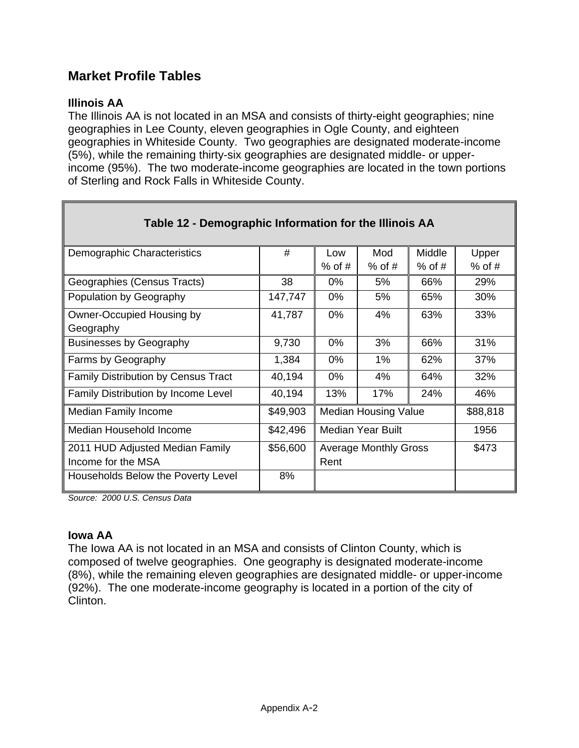### **Market Profile Tables**

#### **Illinois AA**

The Illinois AA is not located in an MSA and consists of thirty-eight geographies; nine geographies in Lee County, eleven geographies in Ogle County, and eighteen geographies in Whiteside County. Two geographies are designated moderate-income (5%), while the remaining thirty-six geographies are designated middle- or upperincome (95%). The two moderate-income geographies are located in the town portions of Sterling and Rock Falls in Whiteside County.

| Table 12 - Demographic Information for the Illinois AA |          |                              |          |          |          |  |  |  |
|--------------------------------------------------------|----------|------------------------------|----------|----------|----------|--|--|--|
| Demographic Characteristics                            | #        | Low                          | Mod      | Middle   | Upper    |  |  |  |
|                                                        |          | $%$ of #                     | $%$ of # | $%$ of # | $%$ of # |  |  |  |
| Geographies (Census Tracts)                            | 38       | $0\%$                        | 5%       | 66%      | 29%      |  |  |  |
| Population by Geography                                | 147,747  | $0\%$                        | 5%       | 65%      | 30%      |  |  |  |
| Owner-Occupied Housing by                              | 41,787   | $0\%$                        | 4%       | 63%      | 33%      |  |  |  |
| Geography                                              |          |                              |          |          |          |  |  |  |
| <b>Businesses by Geography</b>                         | 9,730    | 0%                           | 3%       | 66%      | 31%      |  |  |  |
| Farms by Geography                                     | 1,384    | $0\%$                        | $1\%$    | 62%      | 37%      |  |  |  |
| <b>Family Distribution by Census Tract</b>             | 40,194   | $0\%$                        | 4%       | 64%      | 32%      |  |  |  |
| <b>Family Distribution by Income Level</b>             | 40,194   | 13%                          | 17%      | 24%      | 46%      |  |  |  |
| <b>Median Family Income</b>                            | \$49,903 | <b>Median Housing Value</b>  |          |          | \$88,818 |  |  |  |
| Median Household Income                                | \$42,496 | Median Year Built            |          |          | 1956     |  |  |  |
| 2011 HUD Adjusted Median Family                        | \$56,600 | <b>Average Monthly Gross</b> |          |          | \$473    |  |  |  |
| Income for the MSA                                     |          | Rent                         |          |          |          |  |  |  |
| Households Below the Poverty Level                     | 8%       |                              |          |          |          |  |  |  |

*Source: 2000 U.S. Census Data* 

#### **Iowa AA**

The Iowa AA is not located in an MSA and consists of Clinton County, which is composed of twelve geographies. One geography is designated moderate-income (8%), while the remaining eleven geographies are designated middle- or upper-income (92%). The one moderate-income geography is located in a portion of the city of Clinton.